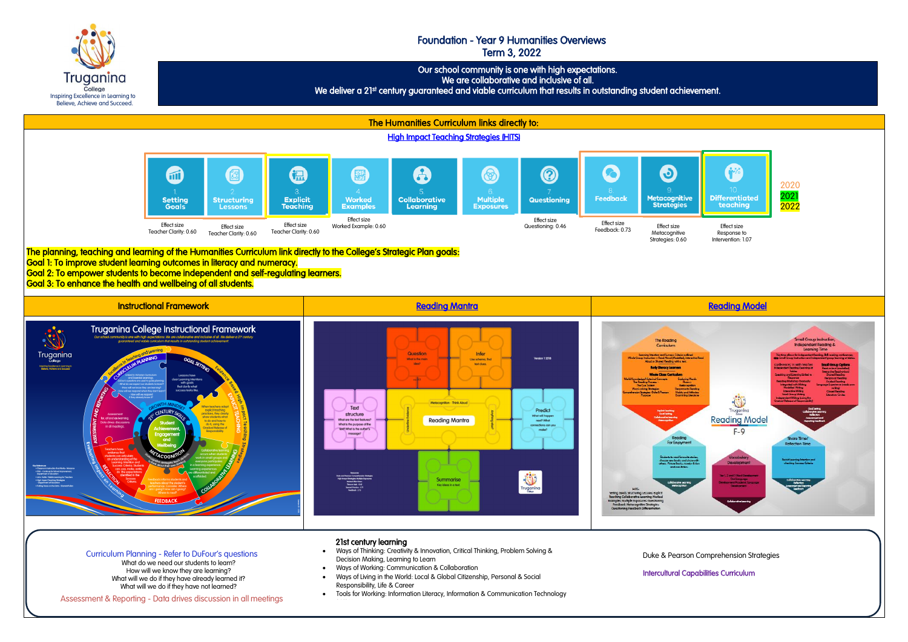

 Our school community is one with high expectations. We are collaborative and inclusive of all.

We deliver a 21st century guaranteed and viable curriculum that results in outstanding student achievement.

## Foundation - Year 9 Humanities Overviews Term 3, 2022

Truganina College Inspiring Excellence in Learning to Believe, Achieve and Succeed.

## 21st century learning

- Ways of Thinking: Creativity & Innovation, Critical Thinking, Problem Solving & Decision Making, Learning to Learn
- Ways of Working: Communication & Collaboration
- Ways of Living in the World: Local & Global Citizenship, Personal & Social Responsibility, Life & Career
- Tools for Working: Information Literacy, Information & Communication Technology

Curriculum Planning - Refer to DuFour's questions What do we need our students to learn? How will we know they are learning? What will we do if they have already learned it? What will we do if they have not learned?

Assessment & Reporting - Data drives discussion in all meetings

### [Duke & Pearson Comprehension Strategies](https://docs.google.com/document/d/1EX3DR3V7MHUzfcCF5YZ8aaHeJAc98wjQC59raZXjGrg/edit)  [Duke & Pearson Comprehension Strategies](https://docs.google.com/document/d/1EX3DR3V7MHUzfcCF5YZ8aaHeJAc98wjQC59raZXjGrg/edit)

### [Intercultural Capabilities Curriculum](http://victoriancurriculum.vcaa.vic.edu.au/intercultural-capability/curriculum/f-10)  [Intercultural Capabilities Curriculum](http://victoriancurriculum.vcaa.vic.edu.au/intercultural-capability/curriculum/f-10)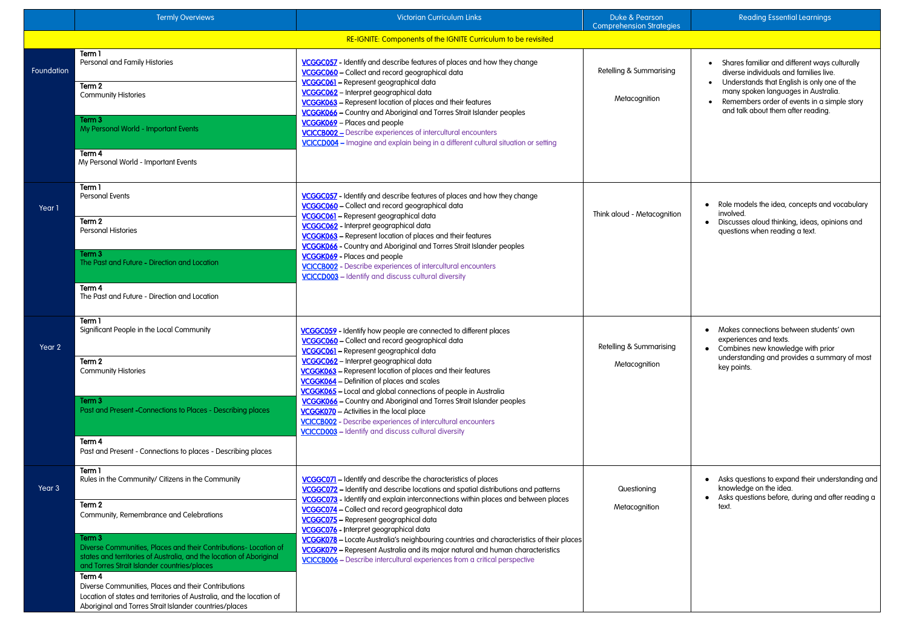# Reading Essential Learnings

|            | <b>Termly Overviews</b>                                                                                                                                                                                                                                                                                                                                                                             | <b>Victorian Curriculum Links</b>                                                                                                                                                                                                                                                                                                                                                    | Duke & Pearson<br><b>Comprehension Strategies</b> | Rea                                                             |
|------------|-----------------------------------------------------------------------------------------------------------------------------------------------------------------------------------------------------------------------------------------------------------------------------------------------------------------------------------------------------------------------------------------------------|--------------------------------------------------------------------------------------------------------------------------------------------------------------------------------------------------------------------------------------------------------------------------------------------------------------------------------------------------------------------------------------|---------------------------------------------------|-----------------------------------------------------------------|
|            |                                                                                                                                                                                                                                                                                                                                                                                                     | RE-IGNITE: Components of the IGNITE Curriculum to be revisited                                                                                                                                                                                                                                                                                                                       |                                                   |                                                                 |
| Foundation | Term 1<br>Personal and Family Histories<br>Term 2<br><b>Community Histories</b>                                                                                                                                                                                                                                                                                                                     | <b>VCGGC057</b> - Identify and describe features of places and how they change<br>VCGGC060 - Collect and record geographical data<br>VCGGC061 - Represent geographical data<br>VCGGC062 - Interpret geographical data                                                                                                                                                                | Retelling & Summarising                           | Shares fo<br>diverse ir<br>Understa<br>many spo                 |
|            | Term 3<br>My Personal World - Important Events<br>Term 4<br>My Personal World - Important Events                                                                                                                                                                                                                                                                                                    | VCGGK063 - Represent location of places and their features<br>VCGGK066 - Country and Aboriginal and Torres Strait Islander peoples<br>VCGGK069 - Places and people<br>VCICCB002 - Describe experiences of intercultural encounters<br>VCICCD004 - Imagine and explain being in a different cultural situation or setting                                                             | Metacognition                                     | <b>Rememb</b><br>and talk o                                     |
| Year 1     | Term 1<br><b>Personal Events</b><br>Term 2<br>Personal Histories<br>Term 3                                                                                                                                                                                                                                                                                                                          | VCGGC057 - Identify and describe features of places and how they change<br>VCGGC060 - Collect and record geographical data<br>VCGGC061 - Represent geographical data<br>VCGGC062 - Interpret geographical data<br>VCGGK063 - Represent location of places and their features<br>VCGGK066 - Country and Aboriginal and Torres Strait Islander peoples<br>VCGGK069 - Places and people | Think aloud - Metacognition                       | Role mode<br>involved.<br><b>Discusses</b><br>questions         |
|            | The Past and Future - Direction and Location<br>Term 4<br>The Past and Future - Direction and Location                                                                                                                                                                                                                                                                                              | VCICCB002 - Describe experiences of intercultural encounters<br>VCICCD003 - Identify and discuss cultural diversity                                                                                                                                                                                                                                                                  |                                                   |                                                                 |
| Year 2     | Term 1<br>Significant People in the Local Community<br>Term 2<br><b>Community Histories</b>                                                                                                                                                                                                                                                                                                         | <b>VCGGC059</b> - Identify how people are connected to different places<br>VCGGC060 - Collect and record geographical data<br><u> VCGGC061</u> – Represent geographical data<br>VCGGC062 - Interpret geographical data<br>VCGGK063 - Represent location of places and their features<br>VCGGK064 - Definition of places and scales                                                   | Retelling & Summarising<br>Metacognition          | Makes cor<br>experience<br>Combines<br>understan<br>key points. |
|            | Term 3<br>Past and Present - Connections to Places - Describing places<br>Term 4<br>Past and Present - Connections to places - Describing places                                                                                                                                                                                                                                                    | VCGGK065 - Local and global connections of people in Australia<br>VCGGK066 - Country and Aboriginal and Torres Strait Islander peoples<br><b>VCGGK070</b> - Activities in the local place<br><b>VCICCB002</b> - Describe experiences of intercultural encounters<br><b>VCICCD003</b> - Identify and discuss cultural diversity                                                       |                                                   |                                                                 |
| Year 3     | Term 1<br>Rules in the Community/ Citizens in the Community<br>Term 2<br>Community, Remembrance and Celebrations                                                                                                                                                                                                                                                                                    | VCGGC071 - Identify and describe the characteristics of places<br>VCGGC072 - Identify and describe locations and spatial distributions and patterns<br>VCGGC073 - Identify and explain interconnections within places and between places<br>VCGGC074 - Collect and record geographical data<br>VCGGC075 - Represent geographical data<br>VCGGC076 - Interpret geographical data      | Questioning<br>Metacognition                      | Asks ques<br>knowledge<br>Asks ques<br>text.                    |
|            | Term 3<br>Diverse Communities, Places and their Contributions- Location of<br>states and territories of Australia, and the location of Aboriginal<br>and Torres Strait Islander countries/places<br>Term 4<br>Diverse Communities, Places and their Contributions<br>Location of states and territories of Australia, and the location of<br>Aboriginal and Torres Strait Islander countries/places | VCGGK078 - Locate Australia's neighbouring countries and characteristics of their places<br>VCGGK079 - Represent Australia and its major natural and human characteristics<br>VCICCB006 - Describe intercultural experiences from a critical perspective                                                                                                                             |                                                   |                                                                 |

| Shares familiar and different ways culturally<br>diverse individuals and families live.<br>Understands that English is only one of the<br>many spoken languages in Australia.<br>Remembers order of events in a simple story<br>and talk about them after reading. |
|--------------------------------------------------------------------------------------------------------------------------------------------------------------------------------------------------------------------------------------------------------------------|
| Role models the idea, concepts and vocabulary<br>involved.<br>Discusses aloud thinking, ideas, opinions and<br>questions when reading a text.                                                                                                                      |
| Makes connections between students' own<br>experiences and texts.<br>Combines new knowledge with prior<br>understanding and provides a summary of most<br>key points.                                                                                              |
| Asks questions to expand their understanding and<br>knowledge on the idea.<br>Asks questions before, during and after reading a<br>text.                                                                                                                           |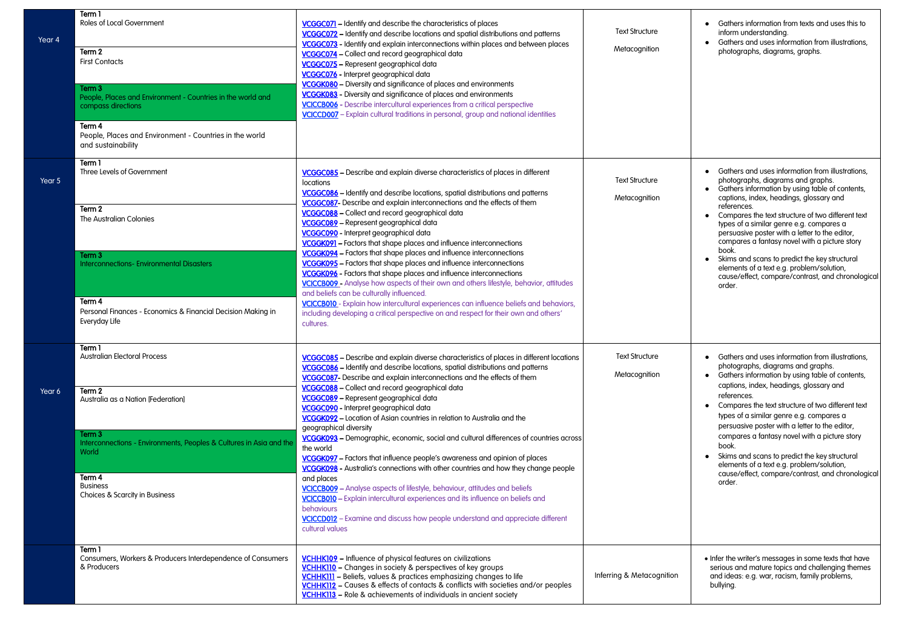| Year 4 | Term 1<br>Roles of Local Government<br>Term 2<br><b>First Contacts</b><br>Term 3<br>People, Places and Environment - Countries in the world and<br>compass directions<br>Term 4<br>People, Places and Environment - Countries in the world<br>and sustainability | <b>VCGGC071</b> – Identify and describe the characteristics of places<br>VCGGC072 - Identify and describe locations and spatial distributions and patterns<br>VCGGC073 - Identify and explain interconnections within places and between places<br>VCGGC074 - Collect and record geographical data<br>VCGGC075 - Represent geographical data<br>VCGGC076 - Interpret geographical data<br>VCGGK080 - Diversity and significance of places and environments<br>VCGGK083 - Diversity and significance of places and environments<br><b>VCICCB006</b> - Describe intercultural experiences from a critical perspective<br>VCICCD007 - Explain cultural traditions in personal, group and national identities                                                                                                                                                                                                                                                                                                                                                                    | <b>Text Structure</b><br>Metacognition | Gathers information from texts a<br>inform understanding.<br>Gathers and uses information fro<br>photographs, diagrams, graphs.                                                                                                                                                                                                                                                                                                               |
|--------|------------------------------------------------------------------------------------------------------------------------------------------------------------------------------------------------------------------------------------------------------------------|------------------------------------------------------------------------------------------------------------------------------------------------------------------------------------------------------------------------------------------------------------------------------------------------------------------------------------------------------------------------------------------------------------------------------------------------------------------------------------------------------------------------------------------------------------------------------------------------------------------------------------------------------------------------------------------------------------------------------------------------------------------------------------------------------------------------------------------------------------------------------------------------------------------------------------------------------------------------------------------------------------------------------------------------------------------------------|----------------------------------------|-----------------------------------------------------------------------------------------------------------------------------------------------------------------------------------------------------------------------------------------------------------------------------------------------------------------------------------------------------------------------------------------------------------------------------------------------|
| Year 5 | Term 1<br>Three Levels of Government<br>Term 2<br>The Australian Colonies<br>Term 3<br><b>Interconnections-Environmental Disasters</b><br>Term 4<br>Personal Finances - Economics & Financial Decision Making in<br>Everyday Life                                | VCGGC085 - Describe and explain diverse characteristics of places in different<br><i>locations</i><br>VCGGC086 - Identify and describe locations, spatial distributions and patterns<br>VCGGC087- Describe and explain interconnections and the effects of them<br>VCGGC088 - Collect and record geographical data<br>VCGGC089 - Represent geographical data<br>VCGGC090 - Interpret geographical data<br>VCGGK091 - Factors that shape places and influence interconnections<br>VCGGK094 - Factors that shape places and influence interconnections<br>VCGGK095 - Factors that shape places and influence interconnections<br>VCGGK096 - Factors that shape places and influence interconnections<br><b>VCICCB009</b> - Analyse how aspects of their own and others lifestyle, behavior, attitudes<br>and beliefs can be culturally influenced.<br>VCICCB010 - Explain how intercultural experiences can influence beliefs and behaviors,<br>including developing a critical perspective on and respect for their own and others'<br>cultures.                              | <b>Text Structure</b><br>Metacognition | Gathers and uses information fro<br>photographs, diagrams and gra<br>Gathers information by using tab<br>captions, index, headings, gloss<br>references.<br>Compares the text structure of tw<br>types of a similar genre e.g. com<br>persuasive poster with a letter to<br>compares a fantasy novel with a<br>book.<br>Skims and scans to predict the ke<br>elements of a text e.g. problem/s<br>cause/effect, compare/contrast,<br>order.   |
| Year 6 | Term 1<br><b>Australian Electoral Process</b><br>Term 2<br>Australia as a Nation [Federation]<br>Term 3<br>Interconnections - Environments, Peoples & Cultures in Asia and the<br>World<br>Term 4<br><b>Business</b><br>Choices & Scarcity in Business           | VCGGC085 - Describe and explain diverse characteristics of places in different locations<br>VCGGC086 - Identify and describe locations, spatial distributions and patterns<br>VCGGC087- Describe and explain interconnections and the effects of them<br>VCGGC088 - Collect and record geographical data<br>VCGGC089 - Represent geographical data<br>VCGGC090 - Interpret geographical data<br>VCGGK092 - Location of Asian countries in relation to Australia and the<br>geographical diversity<br>VCGGK093 - Demographic, economic, social and cultural differences of countries across<br>the world<br>VCGGK097 - Factors that influence people's awareness and opinion of places<br>VCGGK098 - Australia's connections with other countries and how they change people<br>and places<br>VCICCB009 - Analyse aspects of lifestyle, behaviour, attitudes and beliefs<br>VCICCB010 - Explain intercultural experiences and its influence on beliefs and<br>behaviours<br>VCICCD012 - Examine and discuss how people understand and appreciate different<br>cultural values | <b>Text Structure</b><br>Metacognition | • Gathers and uses information fro<br>photographs, diagrams and gra<br>Gathers information by using tab<br>captions, index, headings, gloss<br>references.<br>Compares the text structure of tw<br>types of a similar genre e.g. com<br>persuasive poster with a letter to<br>compares a fantasy novel with a<br>book.<br>Skims and scans to predict the ke<br>elements of a text e.g. problem/s<br>cause/effect, compare/contrast,<br>order. |
|        | Term 1<br>Consumers, Workers & Producers Interdependence of Consumers<br>& Producers                                                                                                                                                                             | VCHHK109 - Influence of physical features on civilizations<br>VCHHK110 - Changes in society & perspectives of key groups<br>VCHHK111 - Beliefs, values & practices emphasizing changes to life<br>VCHHK112 - Causes & effects of contacts & conflicts with societies and/or peoples<br>VCHHK113 - Role & achievements of individuals in ancient society                                                                                                                                                                                                                                                                                                                                                                                                                                                                                                                                                                                                                                                                                                                      | Inferring & Metacognition              | • Infer the writer's messages in some<br>serious and mature topics and chal<br>and ideas: e.g. war, racism, family<br>bullying.                                                                                                                                                                                                                                                                                                               |

| Gathers information from texts and uses this to<br>inform understanding.<br>Gathers and uses information from illustrations,<br>photographs, diagrams, graphs.                                                                                                                                                                                                                                                                                                                                                                                                               |
|------------------------------------------------------------------------------------------------------------------------------------------------------------------------------------------------------------------------------------------------------------------------------------------------------------------------------------------------------------------------------------------------------------------------------------------------------------------------------------------------------------------------------------------------------------------------------|
| Gathers and uses information from illustrations,<br>photographs, diagrams and graphs.<br>Gathers information by using table of contents,<br>captions, index, headings, glossary and<br>references.<br>Compares the text structure of two different text<br>types of a similar genre e.g. compares a<br>persuasive poster with a letter to the editor,<br>compares a fantasy novel with a picture story<br>book.<br>Skims and scans to predict the key structural<br>elements of a text e.g. problem/solution,<br>cause/effect, compare/contrast, and chronological<br>order. |
| Gathers and uses information from illustrations<br>photographs, diagrams and graphs.<br>Gathers information by using table of contents,<br>captions, index, headings, glossary and<br>references.<br>Compares the text structure of two different text<br>types of a similar genre e.g. compares a<br>persuasive poster with a letter to the editor,<br>compares a fantasy novel with a picture story<br>book.<br>Skims and scans to predict the key structural<br>elements of a text e.g. problem/solution,<br>cause/effect, compare/contrast, and chronological<br>order.  |
| • Infer the writer's messages in some texts that have<br>serious and mature topics and challenging themes<br>and ideas: e.g. war, racism, family problems,<br>bullying.                                                                                                                                                                                                                                                                                                                                                                                                      |